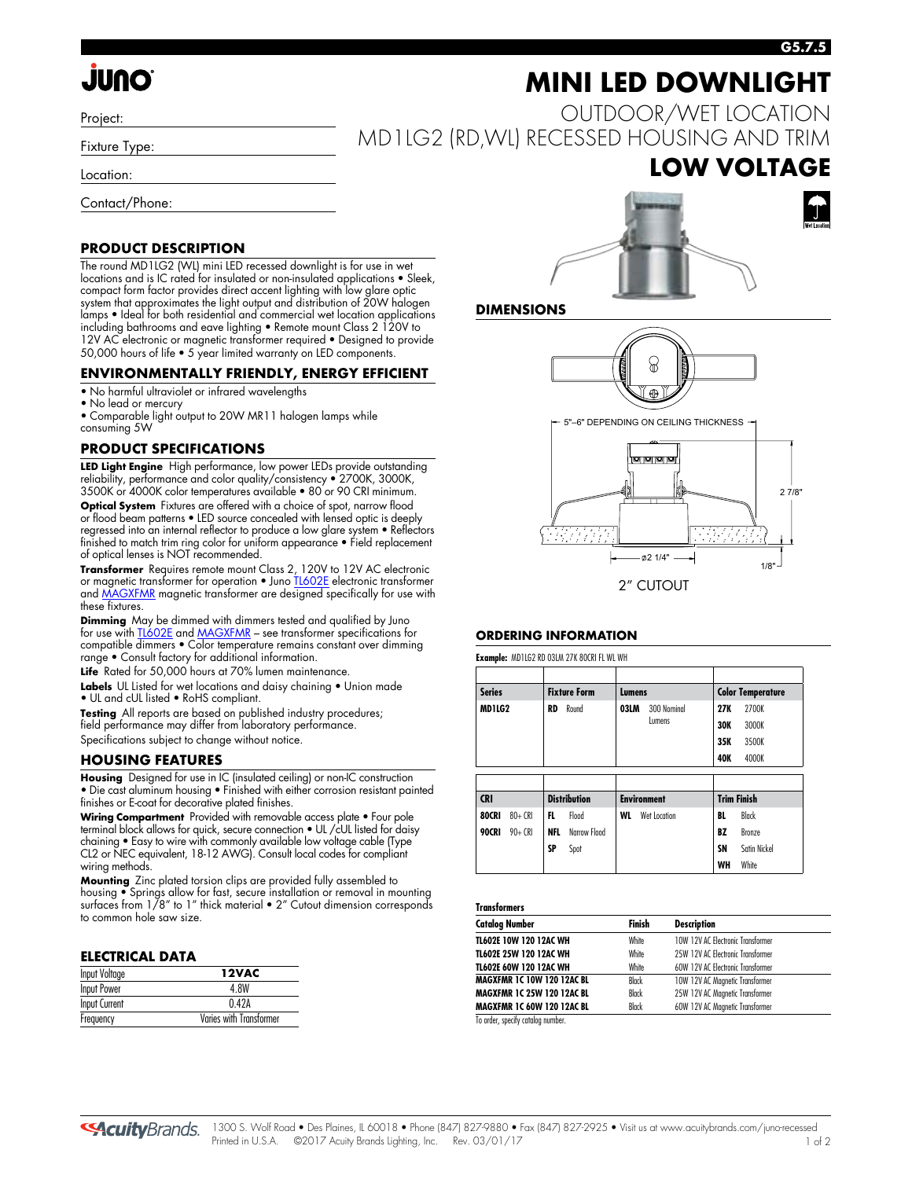# **JUNO**

Project:

Fixture Type:

Location:

Contact/Phone:

#### **PRODUCT DESCRIPTION**

The round MD1LG2 (WL) mini LED recessed downlight is for use in wet locations and is IC rated for insulated or non-insulated applications • Sleek, compact form factor provides direct accent lighting with low glare optic system that approximates the light output and distribution of 20W halogen lamps • Ideal for both residential and commercial wet location applications including bathrooms and eave lighting • Remote mount Class 2 120V to 12V AC electronic or magnetic transformer required • Designed to provide 50,000 hours of life • 5 year limited warranty on LED components.

#### **ENVIRONMENTALLY FRIENDLY, ENERGY EFFICIENT**

- No harmful ultraviolet or infrared wavelengths
- No lead or mercury

• Comparable light output to 20W MR11 halogen lamps while consuming 5W

#### **PRODUCT SPECIFICATIONS**

**LED Light Engine**High performance, low power LEDs provide outstanding reliability, performance and color quality/consistency • 2700K, 3000K, 3500K or 4000K color temperatures available • 80 or 90 CRI minimum. **Optical System** Fixtures are offered with a choice of spot, narrow flood or flood beam patterns • LED source concealed with lensed optic is deeply regressed into an internal reflector to produce a low glare system • Reflectors finished to match trim ring color for uniform appearance • Field replacement of optical lenses is NOT recommended.

**Transformer** Requires remote mount Class 2, 120V to 12V AC electronic or magnetic transformer for operation • Jun[o TL602E e](http://www.acuitybrands.com/shell/-/media/Files/Acuity/Other/D3_1_9.pdf)lectronic transformer an[d MAGXFMR m](http://www.acuitybrands.com/shell/-/media/Files/Acuity/Other/D3_1_10.pdf)agnetic transformer are designed specifically for use with these fixtures.

**Dimming** May be dimmed with dimmers tested and qualified by Juno for use wit[h TL602E a](http://www.acuitybrands.com/shell/-/media/Files/Acuity/Other/D3_1_9.pdf)n[d MAGXFMR –](http://www.acuitybrands.com/shell/-/media/Files/Acuity/Other/D3_1_10.pdf) see transformer specifications for compatible dimmers • Color temperature remains constant over dimming range • Consult factory for additional information.

Life Rated for 50,000 hours at 70% lumen maintenance.

**Labels** UL Listed for wet locations and daisy chaining • Union made • UL and cUL listed • RoHS compliant.

**Testing** All reports are based on published industry procedures; field performance may differ from laboratory performance. Specifications subject to change without notice.

#### **HOUSING FEATURES**

**Housing**Designed for use in IC (insulated ceiling) or non-IC construction • Die cast aluminum housing • Finished with either corrosion resistant painted finishes or E-coat for decorative plated finishes.

**Wiring Compartment**Provided with removable access plate • Four pole terminal block allows for quick, secure connection • UL /cUL listed for daisy chaining • Easy to wire with commonly available low voltage cable (Type CL2 or NEC equivalent, 18-12 AWG). Consult local codes for compliant wiring methods.

**Mounting** Zinc plated torsion clips are provided fully assembled to housing • Springs allow for fast, secure installation or removal in mounting surfaces from 1/8" to 1" thick material • 2" Cutout dimension corresponds to common hole saw size.

#### **ELECTRICAL DATA**

| Input Voltage                        | 12VAC |
|--------------------------------------|-------|
| <b>Input Power</b>                   | 4.8W  |
| <b>Input Current</b>                 | 042A  |
| Varies with Transformer<br>Frequency |       |

# **MINI LED DOWNLIGHT**

OUTDOOR/WET LOCATION MD1LG2 (RD,WL) RECESSED HOUSING AND TRIM

## **LOW VOLTAGE**



**DIMENSIONS**



5"–6" DEPENDING ON CEILING THICKNESS



#### **ORDERING INFORMATION**

**Example:** MD1LG2 RD 03LM 27K 80CRI FL WL WH

| <b>Series</b> |           | <b>Fixture Form</b> |                     |                     | Lumens             |            | <b>Color Temperature</b> |  |
|---------------|-----------|---------------------|---------------------|---------------------|--------------------|------------|--------------------------|--|
| MD1LG2        |           | RD<br>Round         |                     | 03LM<br>300 Nominal | 27K                | 2700K      |                          |  |
|               |           |                     |                     |                     | Lumens             | <b>30K</b> | 3000K                    |  |
|               |           |                     |                     |                     |                    | 35K        | 3500K                    |  |
|               |           |                     |                     |                     |                    | 40K        | 4000K                    |  |
|               |           |                     |                     |                     |                    |            |                          |  |
|               |           |                     |                     |                     |                    |            |                          |  |
| <b>CRI</b>    |           |                     | <b>Distribution</b> |                     | <b>Environment</b> |            | <b>Trim Finish</b>       |  |
| <b>80CRI</b>  | $80 + CR$ | FL                  | Flood               | WL                  | Wet Location       | BL         | Black                    |  |
| <b>90CRI</b>  | $90 + CR$ | <b>NFL</b>          | Narrow Flood        |                     |                    | BZ         | <b>Bronze</b>            |  |
|               |           | SP                  | Spot                |                     |                    | SN         | Satin Nickel             |  |

#### **Transformers**

| <b>Catalog Number</b>             | Finish       | <b>Description</b>                |
|-----------------------------------|--------------|-----------------------------------|
| TL602E 10W 120 12AC WH            | <b>White</b> | 10W 12V AC Electronic Transformer |
| TL602E 25W 120 12AC WH            | <b>White</b> | 25W 12V AC Electronic Transformer |
| TL602E 60W 120 12AC WH            | <b>White</b> | 60W 12V AC Electronic Transformer |
| <b>MAGXFMR 1C 10W 120 12AC BL</b> | Black        | 10W 12V AC Magnetic Transformer   |
| <b>MAGXFMR 1C 25W 120 12AC BL</b> | Black        | 25W 12V AC Magnetic Transformer   |
| <b>MAGXFMR 1C 60W 120 12AC BL</b> | <b>Black</b> | 60W 12V AC Magnetic Transformer   |

der, specify catalog nu